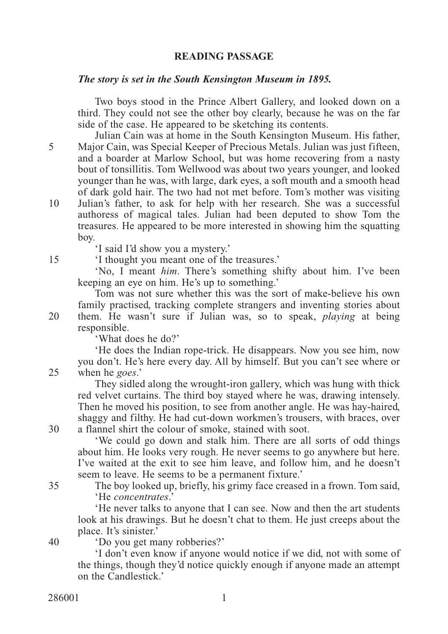## **READING PASSAGE**

## *The story is set in the South Kensington Museum in 1895.*

Two boys stood in the Prince Albert Gallery, and looked down on a third. They could not see the other boy clearly, because he was on the far side of the case. He appeared to be sketching its contents.

Julian Cain was at home in the South Kensington Museum. His father, Major Cain, was Special Keeper of Precious Metals. Julian was just fifteen, and a boarder at Marlow School, but was home recovering from a nasty bout of tonsillitis. Tom Wellwood was about two years younger, and looked younger than he was, with large, dark eyes, a soft mouth and a smooth head of dark gold hair. The two had not met before. Tom's mother was visiting Julian's father, to ask for help with her research. She was a successful authoress of magical tales. Julian had been deputed to show Tom the treasures. He appeared to be more interested in showing him the squatting boy. 10

'I said I'd show you a mystery.'

'I thought you meant one of the treasures.'

'No, I meant *him*. There's something shifty about him. I've been keeping an eye on him. He's up to something.'

Tom was not sure whether this was the sort of make-believe his own family practised, tracking complete strangers and inventing stories about them. He wasn't sure if Julian was, so to speak, *playing* at being responsible.

'What does he do?'

'He does the Indian rope-trick. He disappears. Now you see him, now you don't. He's here every day. All by himself. But you can't see where or when he *goes*.'

They sidled along the wrought-iron gallery, which was hung with thick red velvet curtains. The third boy stayed where he was, drawing intensely. Then he moved his position, to see from another angle. He was hay-haired, shaggy and filthy. He had cut-down workmen's trousers, with braces, over a flannel shirt the colour of smoke, stained with soot.

'We could go down and stalk him. There are all sorts of odd things about him. He looks very rough. He never seems to go anywhere but here. I've waited at the exit to see him leave, and follow him, and he doesn't seem to leave. He seems to be a permanent fixture.'

The boy looked up, briefly, his grimy face creased in a frown. Tom said, 'He *concentrates*.'

'He never talks to anyone that I can see. Now and then the art students look at his drawings. But he doesn't chat to them. He just creeps about the place. It's sinister.'

'Do you get many robberies?' 40

> 'I don't even know if anyone would notice if we did, not with some of the things, though they'd notice quickly enough if anyone made an attempt on the Candlestick.'

286001 1

20

25

30

15

5

35